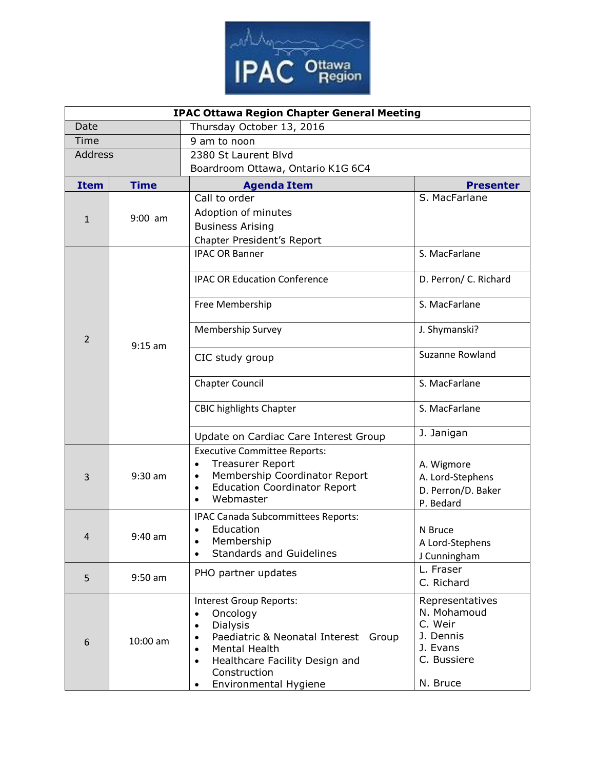

| <b>IPAC Ottawa Region Chapter General Meeting</b> |             |                                                                                                                                                                                                                                                                      |                                                                                               |  |
|---------------------------------------------------|-------------|----------------------------------------------------------------------------------------------------------------------------------------------------------------------------------------------------------------------------------------------------------------------|-----------------------------------------------------------------------------------------------|--|
| Date                                              |             | Thursday October 13, 2016                                                                                                                                                                                                                                            |                                                                                               |  |
| Time                                              |             | 9 am to noon                                                                                                                                                                                                                                                         |                                                                                               |  |
| Address                                           |             | 2380 St Laurent Blvd                                                                                                                                                                                                                                                 |                                                                                               |  |
|                                                   |             | Boardroom Ottawa, Ontario K1G 6C4                                                                                                                                                                                                                                    |                                                                                               |  |
| <b>Item</b>                                       | <b>Time</b> | <b>Agenda Item</b>                                                                                                                                                                                                                                                   | <b>Presenter</b>                                                                              |  |
| $\mathbf{1}$                                      | $9:00$ am   | Call to order                                                                                                                                                                                                                                                        | S. MacFarlane                                                                                 |  |
|                                                   |             | Adoption of minutes                                                                                                                                                                                                                                                  |                                                                                               |  |
|                                                   |             | <b>Business Arising</b>                                                                                                                                                                                                                                              |                                                                                               |  |
|                                                   |             | Chapter President's Report                                                                                                                                                                                                                                           |                                                                                               |  |
| 2                                                 | $9:15$ am   | <b>IPAC OR Banner</b>                                                                                                                                                                                                                                                | S. MacFarlane                                                                                 |  |
|                                                   |             | <b>IPAC OR Education Conference</b>                                                                                                                                                                                                                                  | D. Perron/ C. Richard                                                                         |  |
|                                                   |             | Free Membership                                                                                                                                                                                                                                                      | S. MacFarlane                                                                                 |  |
|                                                   |             | <b>Membership Survey</b>                                                                                                                                                                                                                                             | J. Shymanski?                                                                                 |  |
|                                                   |             | CIC study group                                                                                                                                                                                                                                                      | Suzanne Rowland                                                                               |  |
|                                                   |             | <b>Chapter Council</b>                                                                                                                                                                                                                                               | S. MacFarlane                                                                                 |  |
|                                                   |             | <b>CBIC highlights Chapter</b>                                                                                                                                                                                                                                       | S. MacFarlane                                                                                 |  |
|                                                   |             | Update on Cardiac Care Interest Group                                                                                                                                                                                                                                | J. Janigan                                                                                    |  |
| 3                                                 | $9:30$ am   | <b>Executive Committee Reports:</b><br><b>Treasurer Report</b><br>$\bullet$<br>Membership Coordinator Report<br>$\bullet$<br><b>Education Coordinator Report</b><br>$\bullet$<br>Webmaster<br>$\bullet$                                                              | A. Wigmore<br>A. Lord-Stephens<br>D. Perron/D. Baker<br>P. Bedard                             |  |
| $\overline{4}$                                    | 9:40 am     | IPAC Canada Subcommittees Reports:<br>Education<br>Membership<br><b>Standards and Guidelines</b>                                                                                                                                                                     | N Bruce<br>A Lord-Stephens<br>J Cunningham                                                    |  |
| 5                                                 | $9:50$ am   | PHO partner updates                                                                                                                                                                                                                                                  | L. Fraser<br>C. Richard                                                                       |  |
| 6                                                 | 10:00 am    | Interest Group Reports:<br>Oncology<br>$\bullet$<br>Dialysis<br>$\bullet$<br>Paediatric & Neonatal Interest<br>Group<br>$\bullet$<br>Mental Health<br>$\bullet$<br>Healthcare Facility Design and<br>$\bullet$<br>Construction<br>Environmental Hygiene<br>$\bullet$ | Representatives<br>N. Mohamoud<br>C. Weir<br>J. Dennis<br>J. Evans<br>C. Bussiere<br>N. Bruce |  |